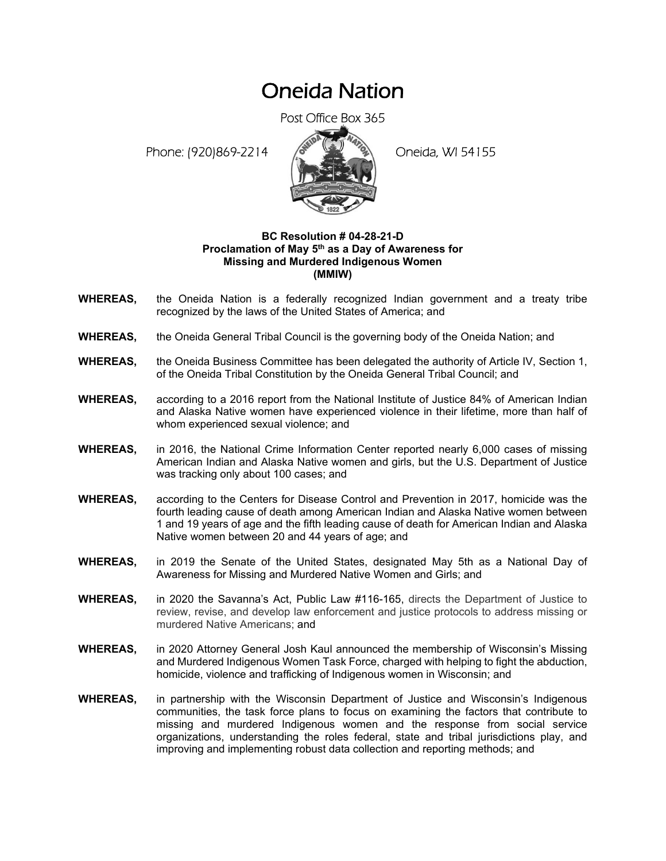## Oneida Nation

Post Office Box 365

Phone: (920)869-2214 (8 April 2) Oneida, WI 54155



## **BC Resolution # 04-28-21-D**  Proclamation of May 5<sup>th</sup> as a Day of Awareness for **Missing and Murdered Indigenous Women (MMIW)**

- **WHEREAS,** the Oneida Nation is a federally recognized Indian government and a treaty tribe recognized by the laws of the United States of America; and
- **WHEREAS,** the Oneida General Tribal Council is the governing body of the Oneida Nation; and
- **WHEREAS,** the Oneida Business Committee has been delegated the authority of Article IV, Section 1, of the Oneida Tribal Constitution by the Oneida General Tribal Council; and
- **WHEREAS,** according to a 2016 report from the National Institute of Justice 84% of American Indian and Alaska Native women have experienced violence in their lifetime, more than half of whom experienced sexual violence; and
- **WHEREAS,** in 2016, the National Crime Information Center reported nearly 6,000 cases of missing American Indian and Alaska Native women and girls, but the U.S. Department of Justice was tracking only about 100 cases; and
- **WHEREAS,** according to the Centers for Disease Control and Prevention in 2017, homicide was the fourth leading cause of death among American Indian and Alaska Native women between 1 and 19 years of age and the fifth leading cause of death for American Indian and Alaska Native women between 20 and 44 years of age; and
- **WHEREAS,** in 2019 the Senate of the United States, designated May 5th as a National Day of Awareness for Missing and Murdered Native Women and Girls; and
- **WHEREAS,** in 2020 the Savanna's Act, Public Law #116-165, directs the Department of Justice to review, revise, and develop law enforcement and justice protocols to address missing or murdered Native Americans; and
- **WHEREAS,** in 2020 Attorney General Josh Kaul announced the membership of Wisconsin's Missing and Murdered Indigenous Women Task Force, charged with helping to fight the abduction, homicide, violence and trafficking of Indigenous women in Wisconsin; and
- **WHEREAS,** in partnership with the Wisconsin Department of Justice and Wisconsin's Indigenous communities, the task force plans to focus on examining the factors that contribute to missing and murdered Indigenous women and the response from social service organizations, understanding the roles federal, state and tribal jurisdictions play, and improving and implementing robust data collection and reporting methods; and